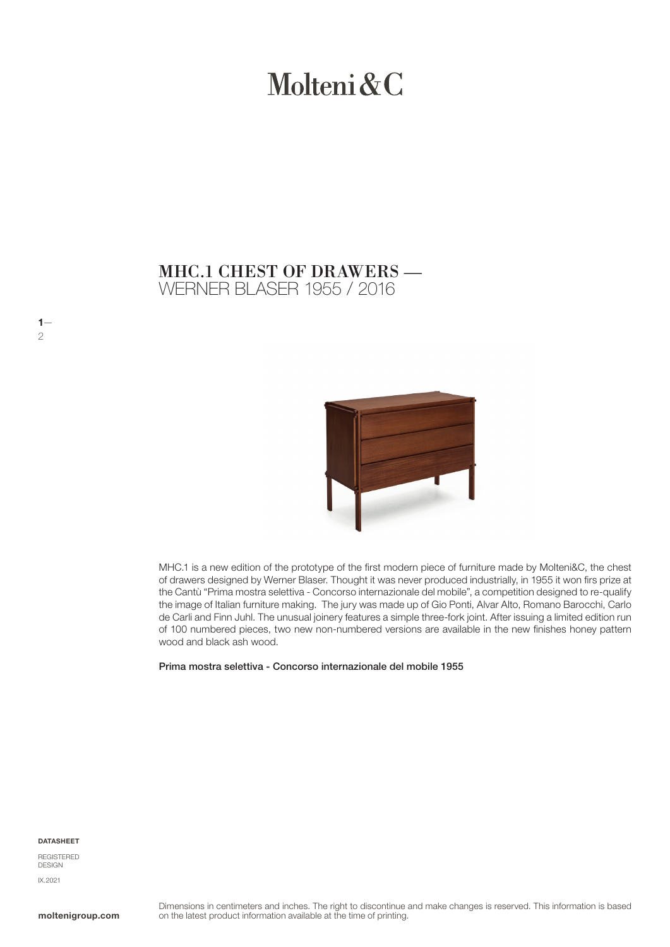# Molteni & C

# WERNER BLASER 1955 / 2016 MHC.1 CHEST OF DRAWERS —



MHC.1 is a new edition of the prototype of the first modern piece of furniture made by Molteni&C, the chest of drawers designed by Werner Blaser. Thought it was never produced industrially, in 1955 it won firs prize at the Cantù "Prima mostra selettiva - Concorso internazionale del mobile", a competition designed to re-qualify the image of Italian furniture making. The jury was made up of Gio Ponti, Alvar Alto, Romano Barocchi, Carlo de Carli and Finn Juhl. The unusual joinery features a simple three-fork joint. After issuing a limited edition run of 100 numbered pieces, two new non-numbered versions are available in the new finishes honey pattern wood and black ash wood.

Prima mostra selettiva - Concorso internazionale del mobile 1955

DATASHEET

 $1-$ 

2

REGISTERED DESIGN IX.2021